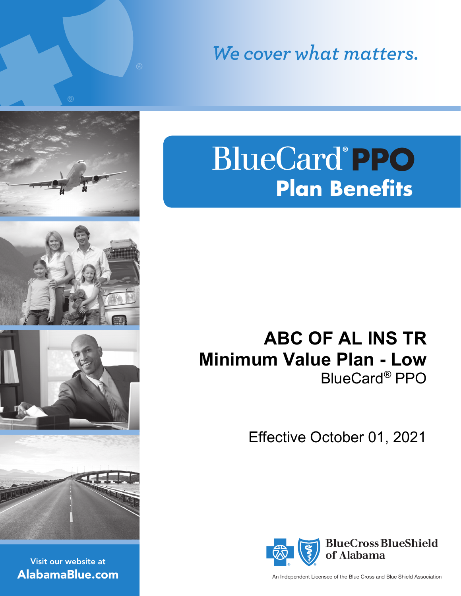We cover what matters.

# **BlueCard®PPO Plan Benefits**

## **ABC OF AL INS TR Minimum Value Plan - Low** BlueCard*®* PPO

Effective October 01, 2021



An Independent Licensee of the Blue Cross and Blue Shield Association

Visit our website at AlabamaBlue.com



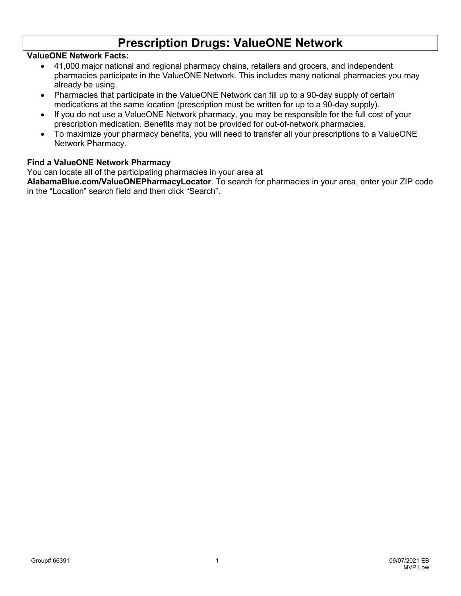### **Prescription Drugs: ValueONE Network**

#### **ValueONE Network Facts:**

- 41,000 major national and regional pharmacy chains, retailers and grocers, and independent pharmacies participate in the ValueONE Network. This includes many national pharmacies you may already be using.
- Pharmacies that participate in the ValueONE Network can fill up to a 90-day supply of certain medications at the same location (prescription must be written for up to a 90-day supply).
- If you do not use a ValueONE Network pharmacy, you may be responsible for the full cost of your prescription medication. Benefits may not be provided for out-of-network pharmacies.
- To maximize your pharmacy benefits, you will need to transfer all your prescriptions to a ValueONE Network Pharmacy.

#### **Find a ValueONE Network Pharmacy**

#### You can locate all of the participating pharmacies in your area at

**AlabamaBlue.com/ValueONEPharmacyLocator**. To search for pharmacies in your area, enter your ZIP code in the "Location" search field and then click "Search".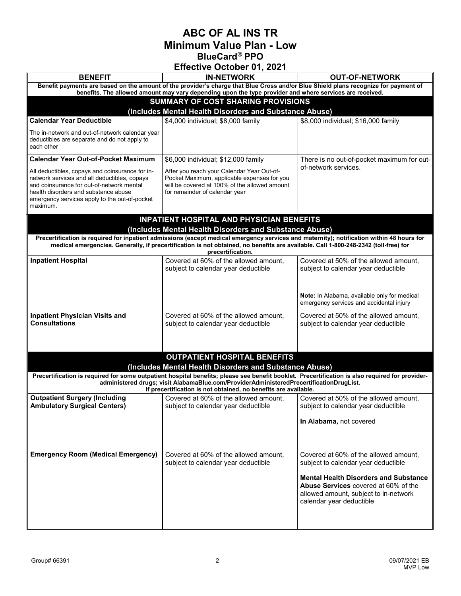**ABC OF AL INS TR Minimum Value Plan - Low BlueCard***®* **PPO**

| <b>Effective October 01, 2021</b>                                                                                                                                                                                                                                                                             |                                                                                                                                                                              |                                                                                                                                                                                                                                           |  |  |
|---------------------------------------------------------------------------------------------------------------------------------------------------------------------------------------------------------------------------------------------------------------------------------------------------------------|------------------------------------------------------------------------------------------------------------------------------------------------------------------------------|-------------------------------------------------------------------------------------------------------------------------------------------------------------------------------------------------------------------------------------------|--|--|
| <b>BENEFIT</b>                                                                                                                                                                                                                                                                                                | <b>IN-NETWORK</b>                                                                                                                                                            | <b>OUT-OF-NETWORK</b>                                                                                                                                                                                                                     |  |  |
| Benefit payments are based on the amount of the provider's charge that Blue Cross and/or Blue Shield plans recognize for payment of<br>benefits. The allowed amount may vary depending upon the type provider and where services are received.                                                                |                                                                                                                                                                              |                                                                                                                                                                                                                                           |  |  |
| <b>SUMMARY OF COST SHARING PROVISIONS</b>                                                                                                                                                                                                                                                                     |                                                                                                                                                                              |                                                                                                                                                                                                                                           |  |  |
| <b>Calendar Year Deductible</b>                                                                                                                                                                                                                                                                               | (Includes Mental Health Disorders and Substance Abuse)                                                                                                                       |                                                                                                                                                                                                                                           |  |  |
| The in-network and out-of-network calendar year<br>deductibles are separate and do not apply to<br>each other                                                                                                                                                                                                 | \$4,000 individual; \$8,000 family                                                                                                                                           | \$8,000 individual; \$16,000 family                                                                                                                                                                                                       |  |  |
| <b>Calendar Year Out-of-Pocket Maximum</b>                                                                                                                                                                                                                                                                    | \$6,000 individual; \$12,000 family                                                                                                                                          | There is no out-of-pocket maximum for out-                                                                                                                                                                                                |  |  |
| All deductibles, copays and coinsurance for in-<br>network services and all deductibles, copays<br>and coinsurance for out-of-network mental<br>health disorders and substance abuse<br>emergency services apply to the out-of-pocket<br>maximum.                                                             | After you reach your Calendar Year Out-of-<br>Pocket Maximum, applicable expenses for you<br>will be covered at 100% of the allowed amount<br>for remainder of calendar year | of-network services.                                                                                                                                                                                                                      |  |  |
|                                                                                                                                                                                                                                                                                                               | <b>INPATIENT HOSPITAL AND PHYSICIAN BENEFITS</b>                                                                                                                             |                                                                                                                                                                                                                                           |  |  |
|                                                                                                                                                                                                                                                                                                               | (Includes Mental Health Disorders and Substance Abuse)                                                                                                                       |                                                                                                                                                                                                                                           |  |  |
| Precertification is required for inpatient admissions (except medical emergency services and maternity); notification within 48 hours for<br>medical emergencies. Generally, if precertification is not obtained, no benefits are available. Call 1-800-248-2342 (toll-free) for<br>precertification.         |                                                                                                                                                                              |                                                                                                                                                                                                                                           |  |  |
| <b>Inpatient Hospital</b>                                                                                                                                                                                                                                                                                     | Covered at 60% of the allowed amount,<br>subject to calendar year deductible                                                                                                 | Covered at 50% of the allowed amount,<br>subject to calendar year deductible                                                                                                                                                              |  |  |
|                                                                                                                                                                                                                                                                                                               |                                                                                                                                                                              | Note: In Alabama, available only for medical<br>emergency services and accidental injury                                                                                                                                                  |  |  |
| <b>Inpatient Physician Visits and</b><br><b>Consultations</b>                                                                                                                                                                                                                                                 | Covered at 60% of the allowed amount,<br>subject to calendar year deductible                                                                                                 | Covered at 50% of the allowed amount,<br>subject to calendar year deductible                                                                                                                                                              |  |  |
|                                                                                                                                                                                                                                                                                                               | <b>OUTPATIENT HOSPITAL BENEFITS</b><br>(Includes Mental Health Disorders and Substance Abuse)                                                                                |                                                                                                                                                                                                                                           |  |  |
| Precertification is required for some outpatient hospital benefits; please see benefit booklet. Precertification is also required for provider-<br>administered drugs; visit AlabamaBlue.com/ProviderAdministeredPrecertificationDrugList.<br>If precertification is not obtained, no benefits are available. |                                                                                                                                                                              |                                                                                                                                                                                                                                           |  |  |
| <b>Outpatient Surgery (Including</b><br><b>Ambulatory Surgical Centers)</b>                                                                                                                                                                                                                                   | Covered at 60% of the allowed amount.<br>subject to calendar year deductible                                                                                                 | Covered at 50% of the allowed amount.<br>subject to calendar year deductible                                                                                                                                                              |  |  |
|                                                                                                                                                                                                                                                                                                               |                                                                                                                                                                              | In Alabama, not covered                                                                                                                                                                                                                   |  |  |
| <b>Emergency Room (Medical Emergency)</b>                                                                                                                                                                                                                                                                     | Covered at 60% of the allowed amount,<br>subject to calendar year deductible                                                                                                 | Covered at 60% of the allowed amount,<br>subject to calendar year deductible<br><b>Mental Health Disorders and Substance</b><br>Abuse Services covered at 60% of the<br>allowed amount, subject to in-network<br>calendar year deductible |  |  |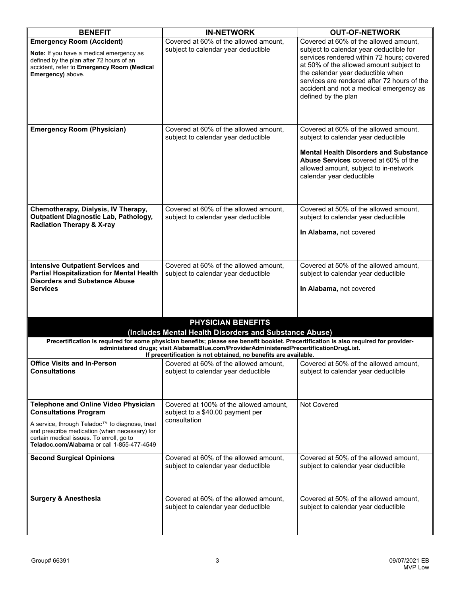| <b>BENEFIT</b>                                                                                                                                                                                                                                                           | <b>IN-NETWORK</b>                                                                                                                                                                                                                                                                                   | <b>OUT-OF-NETWORK</b>                                                                                                                                                                                                                                                                                                           |
|--------------------------------------------------------------------------------------------------------------------------------------------------------------------------------------------------------------------------------------------------------------------------|-----------------------------------------------------------------------------------------------------------------------------------------------------------------------------------------------------------------------------------------------------------------------------------------------------|---------------------------------------------------------------------------------------------------------------------------------------------------------------------------------------------------------------------------------------------------------------------------------------------------------------------------------|
| <b>Emergency Room (Accident)</b><br>Note: If you have a medical emergency as<br>defined by the plan after 72 hours of an<br>accident, refer to Emergency Room (Medical<br>Emergency) above.                                                                              | Covered at 60% of the allowed amount,<br>subject to calendar year deductible                                                                                                                                                                                                                        | Covered at 60% of the allowed amount,<br>subject to calendar year deductible for<br>services rendered within 72 hours; covered<br>at 50% of the allowed amount subject to<br>the calendar year deductible when<br>services are rendered after 72 hours of the<br>accident and not a medical emergency as<br>defined by the plan |
| <b>Emergency Room (Physician)</b>                                                                                                                                                                                                                                        | Covered at 60% of the allowed amount.<br>subject to calendar year deductible                                                                                                                                                                                                                        | Covered at 60% of the allowed amount,<br>subject to calendar year deductible<br><b>Mental Health Disorders and Substance</b><br><b>Abuse Services</b> covered at 60% of the<br>allowed amount, subject to in-network<br>calendar year deductible                                                                                |
| Chemotherapy, Dialysis, IV Therapy,<br><b>Outpatient Diagnostic Lab, Pathology,</b><br><b>Radiation Therapy &amp; X-ray</b>                                                                                                                                              | Covered at 60% of the allowed amount.<br>subject to calendar year deductible                                                                                                                                                                                                                        | Covered at 50% of the allowed amount,<br>subject to calendar year deductible<br>In Alabama, not covered                                                                                                                                                                                                                         |
| <b>Intensive Outpatient Services and</b><br><b>Partial Hospitalization for Mental Health</b><br><b>Disorders and Substance Abuse</b><br><b>Services</b>                                                                                                                  | Covered at 60% of the allowed amount,<br>subject to calendar year deductible                                                                                                                                                                                                                        | Covered at 50% of the allowed amount.<br>subject to calendar year deductible<br>In Alabama, not covered                                                                                                                                                                                                                         |
|                                                                                                                                                                                                                                                                          | <b>PHYSICIAN BENEFITS</b>                                                                                                                                                                                                                                                                           |                                                                                                                                                                                                                                                                                                                                 |
|                                                                                                                                                                                                                                                                          | (Includes Mental Health Disorders and Substance Abuse)                                                                                                                                                                                                                                              |                                                                                                                                                                                                                                                                                                                                 |
|                                                                                                                                                                                                                                                                          | Precertification is required for some physician benefits; please see benefit booklet. Precertification is also required for provider-<br>administered drugs; visit AlabamaBlue.com/ProviderAdministeredPrecertificationDrugList.<br>If precertification is not obtained, no benefits are available. |                                                                                                                                                                                                                                                                                                                                 |
| <b>Office Visits and In-Person</b><br><b>Consultations</b>                                                                                                                                                                                                               | Covered at 60% of the allowed amount.<br>subject to calendar year deductible                                                                                                                                                                                                                        | LCovered at 50% of the allowed amount.<br>subject to calendar year deductible                                                                                                                                                                                                                                                   |
| <b>Telephone and Online Video Physician</b><br><b>Consultations Program</b><br>A service, through Teladoc™ to diagnose, treat<br>and prescribe medication (when necessary) for<br>certain medical issues. To enroll, go to<br>Teladoc.com/Alabama or call 1-855-477-4549 | Covered at 100% of the allowed amount,<br>subject to a \$40.00 payment per<br>consultation                                                                                                                                                                                                          | Not Covered                                                                                                                                                                                                                                                                                                                     |
| <b>Second Surgical Opinions</b>                                                                                                                                                                                                                                          | Covered at 60% of the allowed amount,<br>subject to calendar year deductible                                                                                                                                                                                                                        | Covered at 50% of the allowed amount,<br>subject to calendar year deductible                                                                                                                                                                                                                                                    |
| <b>Surgery &amp; Anesthesia</b>                                                                                                                                                                                                                                          | Covered at 60% of the allowed amount,<br>subject to calendar year deductible                                                                                                                                                                                                                        | Covered at 50% of the allowed amount,<br>subject to calendar year deductible                                                                                                                                                                                                                                                    |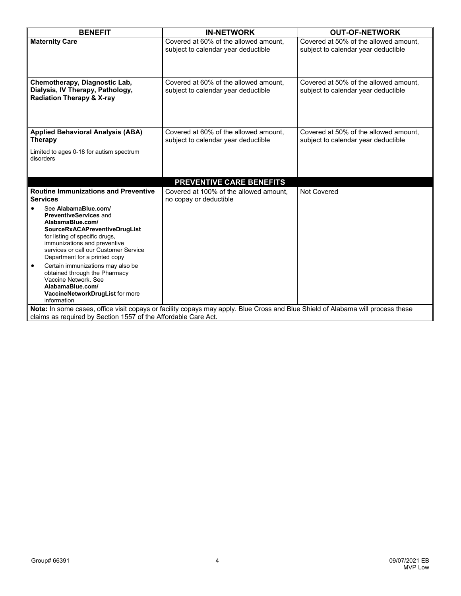| <b>BENEFIT</b>                                                                                                                                                                                                                                                                                                                                                                                                                          | <b>IN-NETWORK</b>                                                            | <b>OUT-OF-NETWORK</b>                                                        |
|-----------------------------------------------------------------------------------------------------------------------------------------------------------------------------------------------------------------------------------------------------------------------------------------------------------------------------------------------------------------------------------------------------------------------------------------|------------------------------------------------------------------------------|------------------------------------------------------------------------------|
| <b>Maternity Care</b>                                                                                                                                                                                                                                                                                                                                                                                                                   | Covered at 60% of the allowed amount,<br>subject to calendar year deductible | Covered at 50% of the allowed amount,<br>subject to calendar year deductible |
| Chemotherapy, Diagnostic Lab,<br>Dialysis, IV Therapy, Pathology,<br><b>Radiation Therapy &amp; X-ray</b>                                                                                                                                                                                                                                                                                                                               | Covered at 60% of the allowed amount.<br>subject to calendar year deductible | Covered at 50% of the allowed amount,<br>subject to calendar year deductible |
| <b>Applied Behavioral Analysis (ABA)</b><br>Therapy<br>Limited to ages 0-18 for autism spectrum<br>disorders                                                                                                                                                                                                                                                                                                                            | Covered at 60% of the allowed amount,<br>subject to calendar year deductible | Covered at 50% of the allowed amount,<br>subject to calendar year deductible |
|                                                                                                                                                                                                                                                                                                                                                                                                                                         | <b>PREVENTIVE CARE BENEFITS</b>                                              |                                                                              |
| <b>Routine Immunizations and Preventive</b>                                                                                                                                                                                                                                                                                                                                                                                             | Covered at 100% of the allowed amount.                                       | Not Covered                                                                  |
| <b>Services</b>                                                                                                                                                                                                                                                                                                                                                                                                                         | no copay or deductible                                                       |                                                                              |
| See AlabamaBlue.com/<br><b>PreventiveServices and</b><br>AlabamaBlue.com/<br>SourceRxACAPreventiveDrugList<br>for listing of specific drugs,<br>immunizations and preventive<br>services or call our Customer Service<br>Department for a printed copy<br>Certain immunizations may also be<br>$\bullet$<br>obtained through the Pharmacy<br>Vaccine Network. See<br>AlabamaBlue.com/<br>VaccineNetworkDrugList for more<br>information |                                                                              |                                                                              |
| Note: In some cases, office visit copays or facility copays may apply. Blue Cross and Blue Shield of Alabama will process these<br>claims as required by Section 1557 of the Affordable Care Act.                                                                                                                                                                                                                                       |                                                                              |                                                                              |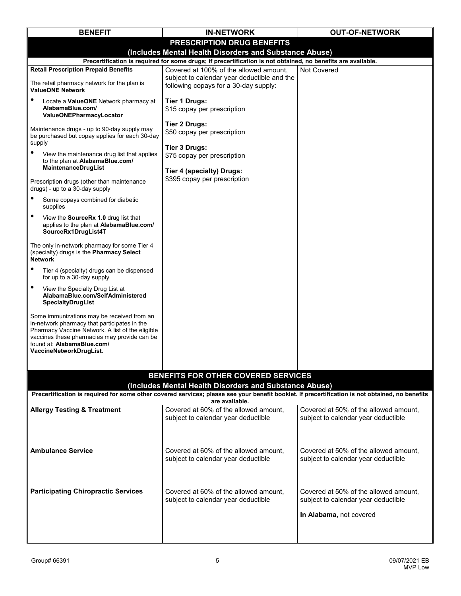| <b>BENEFIT</b>                                                                                                                                                                                                                                          | <b>IN-NETWORK</b>                                                                                                                                                 | <b>OUT-OF-NETWORK</b>                                                        |  |  |
|---------------------------------------------------------------------------------------------------------------------------------------------------------------------------------------------------------------------------------------------------------|-------------------------------------------------------------------------------------------------------------------------------------------------------------------|------------------------------------------------------------------------------|--|--|
| PRESCRIPTION DRUG BENEFITS                                                                                                                                                                                                                              |                                                                                                                                                                   |                                                                              |  |  |
| (Includes Mental Health Disorders and Substance Abuse)<br>Precertification is required for some drugs; if precertification is not obtained, no benefits are available.                                                                                  |                                                                                                                                                                   |                                                                              |  |  |
| <b>Retail Prescription Prepaid Benefits</b>                                                                                                                                                                                                             | Covered at 100% of the allowed amount,                                                                                                                            | Not Covered                                                                  |  |  |
| The retail pharmacy network for the plan is<br><b>ValueONE Network</b>                                                                                                                                                                                  | subject to calendar year deductible and the<br>following copays for a 30-day supply:                                                                              |                                                                              |  |  |
| ٠<br>Locate a ValueONE Network pharmacy at<br>AlabamaBlue.com/<br>ValueONEPharmacyLocator                                                                                                                                                               | <b>Tier 1 Drugs:</b><br>\$15 copay per prescription                                                                                                               |                                                                              |  |  |
| Maintenance drugs - up to 90-day supply may<br>be purchased but copay applies for each 30-day<br>supply                                                                                                                                                 | <b>Tier 2 Drugs:</b><br>\$50 copay per prescription<br>Tier 3 Drugs:                                                                                              |                                                                              |  |  |
| ٠<br>View the maintenance drug list that applies<br>to the plan at AlabamaBlue.com/<br>MaintenanceDrugList                                                                                                                                              | \$75 copay per prescription                                                                                                                                       |                                                                              |  |  |
| Prescription drugs (other than maintenance<br>drugs) - up to a 30-day supply                                                                                                                                                                            | <b>Tier 4 (specialty) Drugs:</b><br>\$395 copay per prescription                                                                                                  |                                                                              |  |  |
| $\bullet$<br>Some copays combined for diabetic<br>supplies                                                                                                                                                                                              |                                                                                                                                                                   |                                                                              |  |  |
| $\bullet$<br>View the SourceRx 1.0 drug list that<br>applies to the plan at AlabamaBlue.com/<br>SourceRx1DrugList4T                                                                                                                                     |                                                                                                                                                                   |                                                                              |  |  |
| The only in-network pharmacy for some Tier 4<br>(specialty) drugs is the Pharmacy Select<br><b>Network</b>                                                                                                                                              |                                                                                                                                                                   |                                                                              |  |  |
| ٠<br>Tier 4 (specialty) drugs can be dispensed<br>for up to a 30-day supply                                                                                                                                                                             |                                                                                                                                                                   |                                                                              |  |  |
| ٠<br>View the Specialty Drug List at<br>AlabamaBlue.com/SelfAdministered<br>SpecialtyDrugList                                                                                                                                                           |                                                                                                                                                                   |                                                                              |  |  |
| Some immunizations may be received from an<br>in-network pharmacy that participates in the<br>Pharmacy Vaccine Network. A list of the eligible<br>vaccines these pharmacies may provide can be<br>found at: AlabamaBlue.com/<br>VaccineNetworkDrugList. |                                                                                                                                                                   |                                                                              |  |  |
|                                                                                                                                                                                                                                                         |                                                                                                                                                                   |                                                                              |  |  |
|                                                                                                                                                                                                                                                         | BENEFITS FOR OTHER COVERED SERVICES<br>(Includes Mental Health Disorders and Substance Abuse)                                                                     |                                                                              |  |  |
|                                                                                                                                                                                                                                                         | Precertification is required for some other covered services; please see your benefit booklet. If precertification is not obtained, no benefits<br>are available. |                                                                              |  |  |
| <b>Allergy Testing &amp; Treatment</b>                                                                                                                                                                                                                  | Covered at 60% of the allowed amount,<br>subject to calendar year deductible                                                                                      | Covered at 50% of the allowed amount,<br>subject to calendar year deductible |  |  |
| <b>Ambulance Service</b>                                                                                                                                                                                                                                | Covered at 60% of the allowed amount,                                                                                                                             | Covered at 50% of the allowed amount,                                        |  |  |
|                                                                                                                                                                                                                                                         | subject to calendar year deductible                                                                                                                               | subject to calendar year deductible                                          |  |  |
| <b>Participating Chiropractic Services</b>                                                                                                                                                                                                              | Covered at 60% of the allowed amount,<br>subject to calendar year deductible                                                                                      | Covered at 50% of the allowed amount,<br>subject to calendar year deductible |  |  |
|                                                                                                                                                                                                                                                         |                                                                                                                                                                   | In Alabama, not covered                                                      |  |  |
|                                                                                                                                                                                                                                                         |                                                                                                                                                                   |                                                                              |  |  |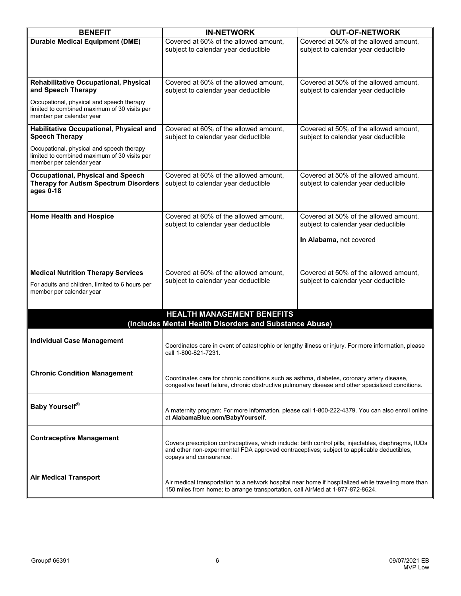| <b>BENEFIT</b>                                                                                                        | <b>IN-NETWORK</b>                                                                                                                                                                                                              | <b>OUT-OF-NETWORK</b>                                                        |
|-----------------------------------------------------------------------------------------------------------------------|--------------------------------------------------------------------------------------------------------------------------------------------------------------------------------------------------------------------------------|------------------------------------------------------------------------------|
| <b>Durable Medical Equipment (DME)</b>                                                                                | Covered at 60% of the allowed amount,<br>subject to calendar year deductible                                                                                                                                                   | Covered at 50% of the allowed amount,<br>subject to calendar year deductible |
| <b>Rehabilitative Occupational, Physical</b><br>and Speech Therapy                                                    | Covered at 60% of the allowed amount,<br>subject to calendar year deductible                                                                                                                                                   | Covered at 50% of the allowed amount,<br>subject to calendar year deductible |
| Occupational, physical and speech therapy<br>limited to combined maximum of 30 visits per<br>member per calendar year |                                                                                                                                                                                                                                |                                                                              |
| Habilitative Occupational, Physical and<br><b>Speech Therapy</b>                                                      | Covered at 60% of the allowed amount,<br>subject to calendar year deductible                                                                                                                                                   | Covered at 50% of the allowed amount,<br>subject to calendar year deductible |
| Occupational, physical and speech therapy<br>limited to combined maximum of 30 visits per<br>member per calendar year |                                                                                                                                                                                                                                |                                                                              |
| <b>Occupational, Physical and Speech</b><br><b>Therapy for Autism Spectrum Disorders</b><br>ages 0-18                 | Covered at 60% of the allowed amount.<br>subject to calendar year deductible                                                                                                                                                   | Covered at 50% of the allowed amount,<br>subject to calendar year deductible |
| <b>Home Health and Hospice</b>                                                                                        | Covered at 60% of the allowed amount,<br>subject to calendar year deductible                                                                                                                                                   | Covered at 50% of the allowed amount,<br>subject to calendar year deductible |
|                                                                                                                       |                                                                                                                                                                                                                                | In Alabama, not covered                                                      |
| <b>Medical Nutrition Therapy Services</b>                                                                             | Covered at 60% of the allowed amount,                                                                                                                                                                                          | Covered at 50% of the allowed amount,                                        |
| For adults and children, limited to 6 hours per<br>member per calendar year                                           | subject to calendar year deductible                                                                                                                                                                                            | subject to calendar year deductible                                          |
|                                                                                                                       | <b>HEALTH MANAGEMENT BENEFITS</b><br>(Includes Mental Health Disorders and Substance Abuse)                                                                                                                                    |                                                                              |
| <b>Individual Case Management</b>                                                                                     | Coordinates care in event of catastrophic or lengthy illness or injury. For more information, please<br>call 1-800-821-7231.                                                                                                   |                                                                              |
| <b>Chronic Condition Management</b>                                                                                   | Coordinates care for chronic conditions such as asthma, diabetes, coronary artery disease,<br>congestive heart failure, chronic obstructive pulmonary disease and other specialized conditions.                                |                                                                              |
| Baby Yourself®                                                                                                        | A maternity program; For more information, please call 1-800-222-4379. You can also enroll online<br>at AlabamaBlue.com/BabyYourself.                                                                                          |                                                                              |
| <b>Contraceptive Management</b>                                                                                       | Covers prescription contraceptives, which include: birth control pills, injectables, diaphragms, IUDs<br>and other non-experimental FDA approved contraceptives; subject to applicable deductibles,<br>copays and coinsurance. |                                                                              |
| <b>Air Medical Transport</b>                                                                                          | Air medical transportation to a network hospital near home if hospitalized while traveling more than<br>150 miles from home; to arrange transportation, call AirMed at 1-877-872-8624.                                         |                                                                              |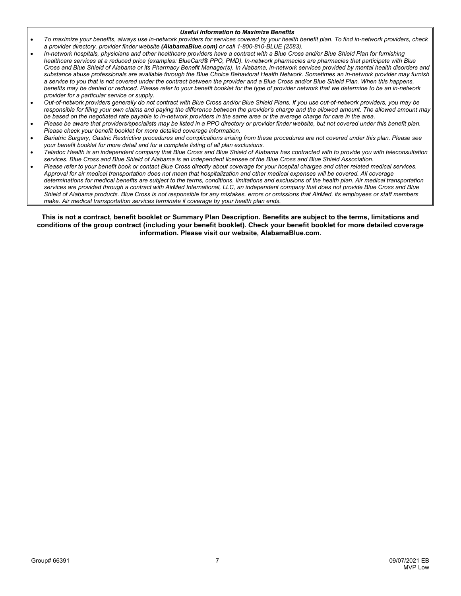#### *Useful Information to Maximize Benefits*

- *To maximize your benefits, always use in-network providers for services covered by your health benefit plan. To find in-network providers, check a provider directory, provider finder website (AlabamaBlue.com) or call 1-800-810-BLUE (2583).*
- *In-network hospitals, physicians and other healthcare providers have a contract with a Blue Cross and/or Blue Shield Plan for furnishing healthcare services at a reduced price (examples: BlueCard® PPO, PMD). In-network pharmacies are pharmacies that participate with Blue Cross and Blue Shield of Alabama or its Pharmacy Benefit Manager(s). In Alabama, in-network services provided by mental health disorders and substance abuse professionals are available through the Blue Choice Behavioral Health Network. Sometimes an in-network provider may furnish a service to you that is not covered under the contract between the provider and a Blue Cross and/or Blue Shield Plan. When this happens, benefits may be denied or reduced. Please refer to your benefit booklet for the type of provider network that we determine to be an in-network provider for a particular service or supply.*
- *Out-of-network providers generally do not contract with Blue Cross and/or Blue Shield Plans. If you use out-of-network providers, you may be responsible for filing your own claims and paying the difference between the provider's charge and the allowed amount. The allowed amount may be based on the negotiated rate payable to in-network providers in the same area or the average charge for care in the area.*
- *Please be aware that providers/specialists may be listed in a PPO directory or provider finder website, but not covered under this benefit plan. Please check your benefit booklet for more detailed coverage information.*
- *Bariatric Surgery, Gastric Restrictive procedures and complications arising from these procedures are not covered under this plan. Please see your benefit booklet for more detail and for a complete listing of all plan exclusions.*
- *Teladoc Health is an independent company that Blue Cross and Blue Shield of Alabama has contracted with to provide you with teleconsultation services. Blue Cross and Blue Shield of Alabama is an independent licensee of the Blue Cross and Blue Shield Association.*
- *Please refer to your benefit book or contact Blue Cross directly about coverage for your hospital charges and other related medical services. Approval for air medical transportation does not mean that hospitalization and other medical expenses will be covered. All coverage determinations for medical benefits are subject to the terms, conditions, limitations and exclusions of the health plan. Air medical transportation services are provided through a contract with AirMed International, LLC, an independent company that does not provide Blue Cross and Blue Shield of Alabama products. Blue Cross is not responsible for any mistakes, errors or omissions that AirMed, its employees or staff members make. Air medical transportation services terminate if coverage by your health plan ends.*

**This is not a contract, benefit booklet or Summary Plan Description. Benefits are subject to the terms, limitations and conditions of the group contract (including your benefit booklet). Check your benefit booklet for more detailed coverage information. Please visit our website, AlabamaBlue.com.**